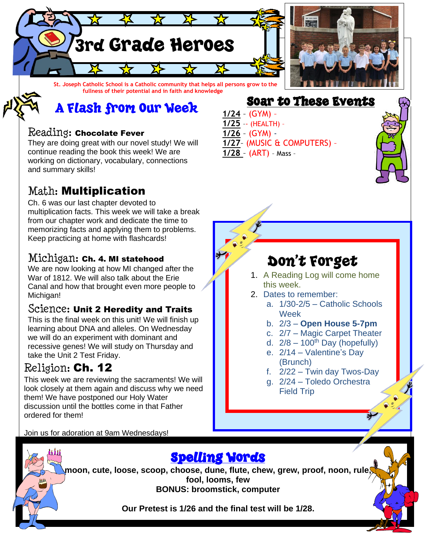

A Flash from Our Week

#### Reading: Chocolate Fever

They are doing great with our novel study! We will continue reading the book this week! We are working on dictionary, vocabulary, connections and summary skills!

## Math: Multiplication

Ch. 6 was our last chapter devoted to multiplication facts. This week we will take a break from our chapter work and dedicate the time to memorizing facts and applying them to problems. Keep practicing at home with flashcards!

### Michigan: Ch. 4. MI statehood

We are now looking at how MI changed after the War of 1812. We will also talk about the Erie Canal and how that brought even more people to Michigan!

#### Science: Unit 2 Heredity and Traits

This is the final week on this unit! We will finish up learning about DNA and alleles. On Wednesday we will do an experiment with dominant and recessive genes! We will study on Thursday and take the Unit 2 Test Friday.

### Religion: Ch. 12

This week we are reviewing the sacraments! We will look closely at them again and discuss why we need them! We have postponed our Holy Water discussion until the bottles come in that Father ordered for them!

Soar to These Events **1/24** – (GYM) – **1/25** –- (HEALTH) – **1/26** – (GYM) - **1/27**– (MUSIC & COMPUTERS) – **1/28** – (ART) – Mass –



## Don't Forget

- 1. A Reading Log will come home this week.
- 2. Dates to remember:
	- a. 1/30-2/5 Catholic Schools Week
	- b. 2/3 **Open House 5-7pm**
	- c. 2/7 Magic Carpet Theater
	- d.  $2/8 100$ <sup>th</sup> Day (hopefully)
	- e. 2/14 Valentine's Day (Brunch)
	- f. 2/22 Twin day Twos-Day
	- g. 2/24 Toledo Orchestra Field Trip

Join us for adoration at 9am Wednesdays!



**moon, cute, loose, scoop, choose, dune, flute, chew, grew, proof, noon, rule, fool, looms, few BONUS: broomstick, computer**

**Our Pretest is 1/26 and the final test will be 1/28.**